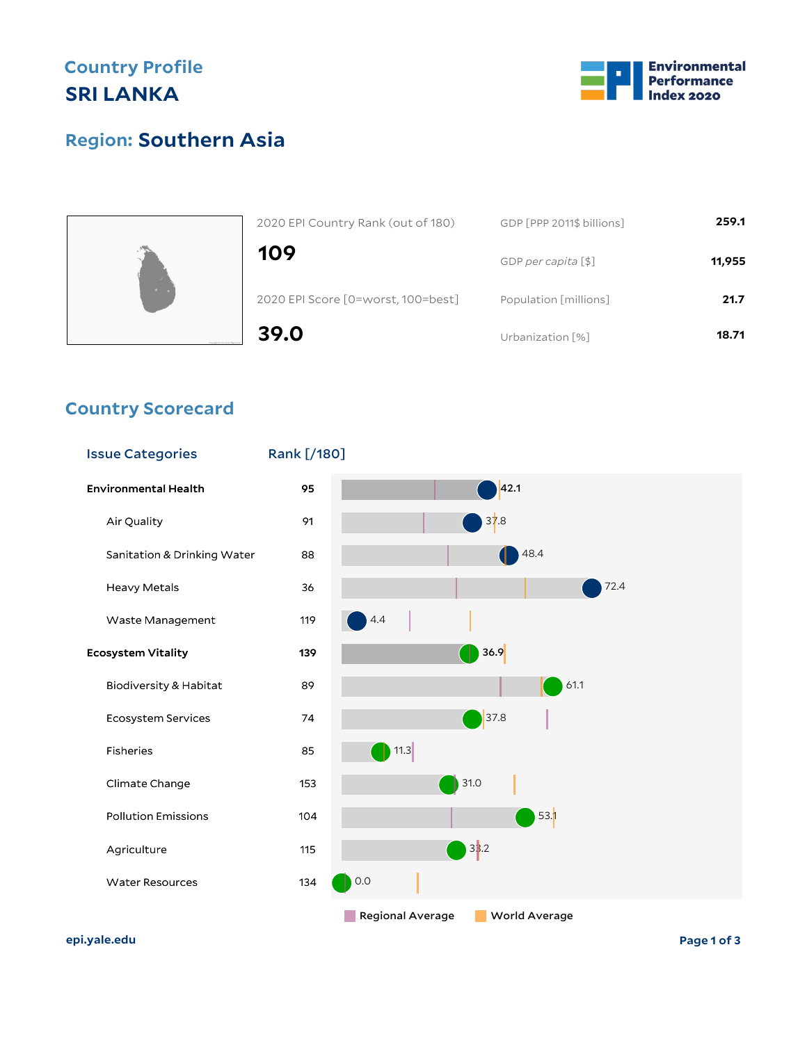## **Country Profile SRI LANKA**







| 2020 EPI Country Rank (out of 180) | GDP [PPP 2011\$ billions] | 259.1  |
|------------------------------------|---------------------------|--------|
| 109                                | GDP per capita [\$]       | 11,955 |
| 2020 EPI Score [0=worst, 100=best] | Population [millions]     | 21.7   |
| 39.0                               | Urbanization [%]          | 18.71  |

### **Country Scorecard**



**epi.yale.edu Page 1 of 3**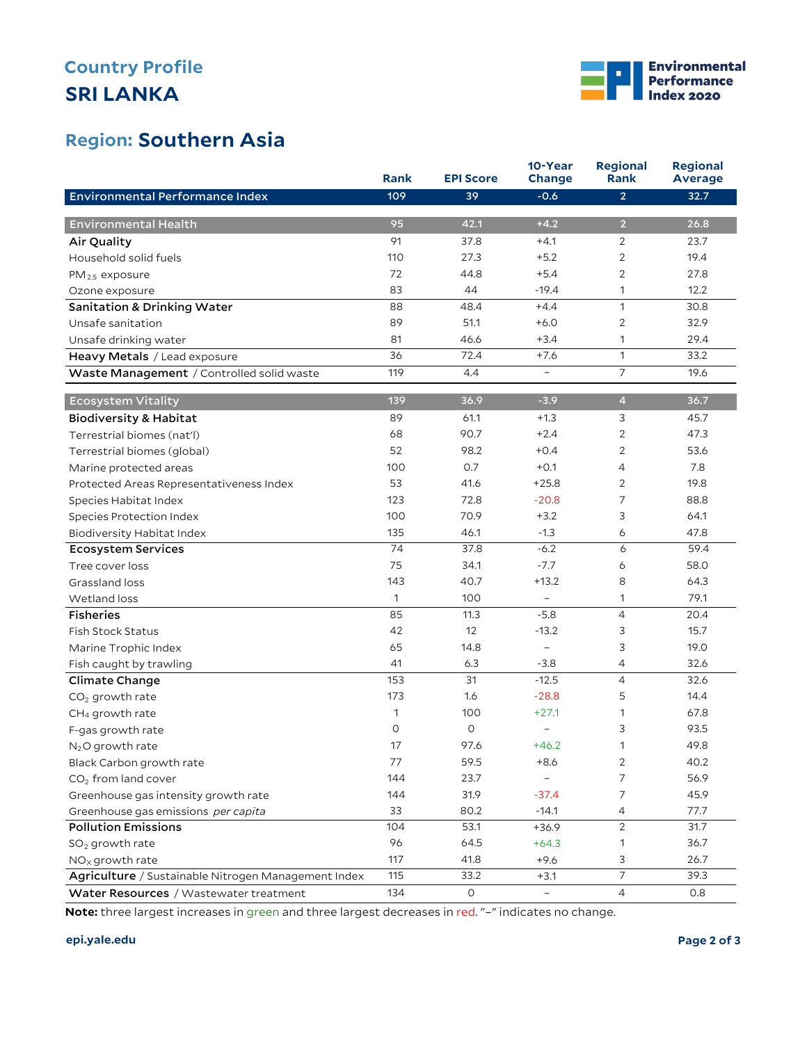# **SRI LANKA Country Profile**



## **Region: Southern Asia**

|                                                     | Rank | <b>EPI Score</b>    | 10-Year<br>Change        | <b>Regional</b><br>Rank | <b>Regional</b><br><b>Average</b> |
|-----------------------------------------------------|------|---------------------|--------------------------|-------------------------|-----------------------------------|
| Environmental Performance Index                     | 109  | 39                  | $-0.6$                   | $\overline{2}$          | 32.7                              |
|                                                     |      |                     |                          |                         |                                   |
| <b>Environmental Health</b>                         | 95   | 42.1                | $+4.2$                   | $\overline{2}$          | 26.8                              |
| Air Quality                                         | 91   | 37.8                | $+4.1$                   | 2                       | 23.7                              |
| Household solid fuels                               | 110  | 27.3                | $+5.2$                   | 2                       | 19.4                              |
| PM <sub>2.5</sub> exposure                          | 72   | 44.8                | $+5.4$                   | 2                       | 27.8                              |
| Ozone exposure                                      | 83   | 44                  | $-19.4$                  | 1                       | 12.2                              |
| <b>Sanitation &amp; Drinking Water</b>              | 88   | 48.4                | $+4.4$                   | $\mathbf{1}$            | 30.8                              |
| Unsafe sanitation                                   | 89   | 51.1                | $+6.0$                   | $\mathbf{2}$            | 32.9                              |
| Unsafe drinking water                               | 81   | 46.6                | $+3.4$                   | 1                       | 29.4                              |
| Heavy Metals / Lead exposure                        | 36   | 72.4                | $+7.6$                   | $\mathbf{1}$            | 33.2                              |
| Waste Management / Controlled solid waste           | 119  | 4.4                 | $\equiv$                 | 7                       | 19.6                              |
| <b>Ecosystem Vitality</b>                           | 139  | 36.9                | $-3.9$                   | $\overline{a}$          | 36.7                              |
| <b>Biodiversity &amp; Habitat</b>                   | 89   | 61.1                | $+1.3$                   | 3                       | 45.7                              |
| Terrestrial biomes (nat'l)                          | 68   | 90.7                | $+2.4$                   | 2                       | 47.3                              |
| Terrestrial biomes (global)                         | 52   | 98.2                | $+0.4$                   | 2                       | 53.6                              |
| Marine protected areas                              | 100  | 0.7                 | $+0.1$                   | 4                       | 7.8                               |
| Protected Areas Representativeness Index            | 53   | 41.6                | $+25.8$                  | $\overline{2}$          | 19.8                              |
| Species Habitat Index                               | 123  | 72.8                | $-20.8$                  | 7                       | 88.8                              |
| Species Protection Index                            | 100  | 70.9                | $+3.2$                   | 3                       | 64.1                              |
| <b>Biodiversity Habitat Index</b>                   | 135  | 46.1                | $-1.3$                   | 6                       | 47.8                              |
| Ecosystem Services                                  | 74   | 37.8                | $-6.2$                   | 6                       | 59.4                              |
| Tree cover loss                                     | 75   | 34.1                | $-7.7$                   | 6                       | 58.0                              |
| Grassland loss                                      | 143  | 40.7                | $+13.2$                  | 8                       | 64.3                              |
| Wetland loss                                        | 1    | 100                 | $\overline{\phantom{a}}$ | 1                       | 79.1                              |
| <b>Fisheries</b>                                    | 85   | 11.3                | $-5.8$                   | 4                       | 20.4                              |
| <b>Fish Stock Status</b>                            | 42   | 12                  | $-13.2$                  | 3                       | 15.7                              |
| Marine Trophic Index                                | 65   | 14.8                | $\overline{\phantom{a}}$ | 3                       | 19.0                              |
| Fish caught by trawling                             | 41   | 6.3                 | $-3.8$                   | 4                       | 32.6                              |
| Climate Change                                      | 153  | 31                  | $-12.5$                  | 4                       | 32.6                              |
| $CO2$ growth rate                                   | 173  | 1.6                 | $-28.8$                  | 5                       | 14.4                              |
| CH <sub>4</sub> growth rate                         | 1    | 100                 | $+27.1$                  | 1                       | 67.8                              |
| F-gas growth rate                                   | O    | $\circ$             | $\qquad \qquad -$        | 3                       | 93.5                              |
| $N2O$ growth rate                                   | 17   | 97.6                | $+46.2$                  | 1                       | 49.8                              |
| Black Carbon growth rate                            | 77   | 59.5                | +8.6                     | $\overline{2}$          | 40.2                              |
| $CO2$ from land cover                               | 144  | 23.7                |                          | 7                       | 56.9                              |
| Greenhouse gas intensity growth rate                | 144  | 31.9                | $-37.4$                  | $\overline{7}$          | 45.9                              |
| Greenhouse gas emissions per capita                 | 33   | 80.2                | $-14.1$                  | $\overline{4}$          | 77.7                              |
| <b>Pollution Emissions</b>                          | 104  | 53.1                | $+36.9$                  | $\overline{2}$          | 31.7                              |
| $SO2$ growth rate                                   | 96   | 64.5                | $+64.3$                  | $\mathbf{1}$            | 36.7                              |
| $NOx$ growth rate                                   | 117  | 41.8                | $+9.6$                   | 3                       | 26.7                              |
| Agriculture / Sustainable Nitrogen Management Index | 115  | 33.2                | $+3.1$                   | $\overline{7}$          | 39.3                              |
| Water Resources / Wastewater treatment              | 134  | $\mathsf{O}\xspace$ | $\overline{\phantom{a}}$ | $\overline{4}$          | 0.8                               |

**Note:** three largest increases in green and three largest decreases in red. "–" indicates no change.

#### **epi.yale.edu Page 2 of 3**